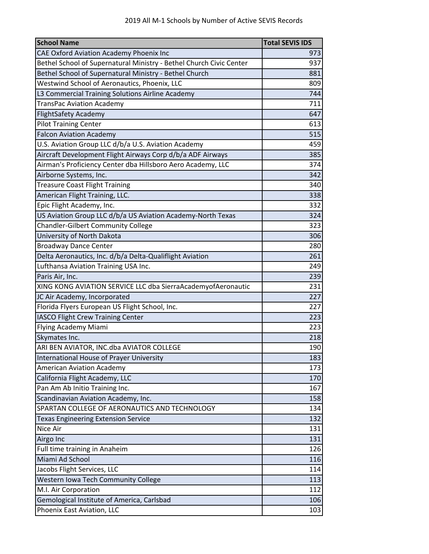| <b>School Name</b>                                                  | <b>Total SEVIS IDS</b> |
|---------------------------------------------------------------------|------------------------|
| CAE Oxford Aviation Academy Phoenix Inc                             | 973                    |
| Bethel School of Supernatural Ministry - Bethel Church Civic Center | 937                    |
| Bethel School of Supernatural Ministry - Bethel Church              | 881                    |
| Westwind School of Aeronautics, Phoenix, LLC                        | 809                    |
| L3 Commercial Training Solutions Airline Academy                    | 744                    |
| TransPac Aviation Academy                                           | 711                    |
| <b>FlightSafety Academy</b>                                         | 647                    |
| <b>Pilot Training Center</b>                                        | 613                    |
| <b>Falcon Aviation Academy</b>                                      | 515                    |
| U.S. Aviation Group LLC d/b/a U.S. Aviation Academy                 | 459                    |
| Aircraft Development Flight Airways Corp d/b/a ADF Airways          | 385                    |
| Airman's Proficiency Center dba Hillsboro Aero Academy, LLC         | 374                    |
| Airborne Systems, Inc.                                              | 342                    |
| <b>Treasure Coast Flight Training</b>                               | 340                    |
| American Flight Training, LLC.                                      | 338                    |
| Epic Flight Academy, Inc.                                           | 332                    |
| US Aviation Group LLC d/b/a US Aviation Academy-North Texas         | 324                    |
| <b>Chandler-Gilbert Community College</b>                           | 323                    |
| University of North Dakota                                          | 306                    |
| <b>Broadway Dance Center</b>                                        | 280                    |
| Delta Aeronautics, Inc. d/b/a Delta-Qualiflight Aviation            | 261                    |
| Lufthansa Aviation Training USA Inc.                                | 249                    |
| Paris Air, Inc.                                                     | 239                    |
| XING KONG AVIATION SERVICE LLC dba SierraAcademyofAeronautic        | 231                    |
| JC Air Academy, Incorporated                                        | 227                    |
| Florida Flyers European US Flight School, Inc.                      | 227                    |
| <b>IASCO Flight Crew Training Center</b>                            | 223                    |
| Flying Academy Miami                                                | 223                    |
| Skymates Inc.                                                       | 218                    |
| ARI BEN AVIATOR, INC.dba AVIATOR COLLEGE                            | 190                    |
| International House of Prayer University                            | 183                    |
| <b>American Aviation Academy</b>                                    | 173                    |
| California Flight Academy, LLC                                      | 170                    |
| Pan Am Ab Initio Training Inc.                                      | 167                    |
| Scandinavian Aviation Academy, Inc.                                 | 158                    |
| SPARTAN COLLEGE OF AERONAUTICS AND TECHNOLOGY                       | 134                    |
| <b>Texas Engineering Extension Service</b>                          | 132                    |
| Nice Air                                                            | 131                    |
| Airgo Inc                                                           | 131                    |
| Full time training in Anaheim                                       | 126                    |
| Miami Ad School                                                     | 116                    |
| Jacobs Flight Services, LLC                                         | 114                    |
| Western Iowa Tech Community College                                 | 113                    |
| M.I. Air Corporation                                                | 112                    |
| Gemological Institute of America, Carlsbad                          | 106                    |
| Phoenix East Aviation, LLC                                          | 103                    |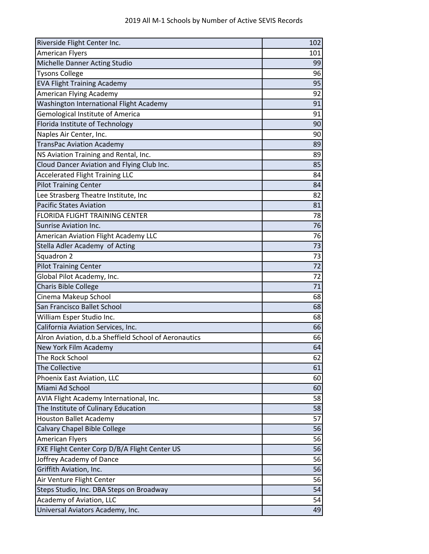| Riverside Flight Center Inc.                          | 102 |
|-------------------------------------------------------|-----|
| <b>American Flyers</b>                                | 101 |
| Michelle Danner Acting Studio                         | 99  |
| <b>Tysons College</b>                                 | 96  |
| <b>EVA Flight Training Academy</b>                    | 95  |
| American Flying Academy                               | 92  |
| Washington International Flight Academy               | 91  |
| Gemological Institute of America                      | 91  |
| Florida Institute of Technology                       | 90  |
| Naples Air Center, Inc.                               | 90  |
| <b>TransPac Aviation Academy</b>                      | 89  |
| NS Aviation Training and Rental, Inc.                 | 89  |
| Cloud Dancer Aviation and Flying Club Inc.            | 85  |
| <b>Accelerated Flight Training LLC</b>                | 84  |
| <b>Pilot Training Center</b>                          | 84  |
| Lee Strasberg Theatre Institute, Inc                  | 82  |
| <b>Pacific States Aviation</b>                        | 81  |
| <b>FLORIDA FLIGHT TRAINING CENTER</b>                 | 78  |
| <b>Sunrise Aviation Inc.</b>                          | 76  |
| <b>American Aviation Flight Academy LLC</b>           | 76  |
| Stella Adler Academy of Acting                        | 73  |
| Squadron 2                                            | 73  |
| <b>Pilot Training Center</b>                          | 72  |
| Global Pilot Academy, Inc.                            | 72  |
| <b>Charis Bible College</b>                           | 71  |
| Cinema Makeup School                                  | 68  |
| San Francisco Ballet School                           | 68  |
| William Esper Studio Inc.                             | 68  |
| California Aviation Services, Inc.                    | 66  |
| Alron Aviation, d.b.a Sheffield School of Aeronautics | 66  |
| New York Film Academy                                 | 64  |
| The Rock School                                       | 62  |
| The Collective                                        | 61  |
| Phoenix East Aviation, LLC                            | 60  |
| Miami Ad School                                       | 60  |
| AVIA Flight Academy International, Inc.               | 58  |
| The Institute of Culinary Education                   | 58  |
| <b>Houston Ballet Academy</b>                         | 57  |
| Calvary Chapel Bible College                          | 56  |
| <b>American Flyers</b>                                | 56  |
| FXE Flight Center Corp D/B/A Flight Center US         | 56  |
| Joffrey Academy of Dance                              | 56  |
| Griffith Aviation, Inc.                               | 56  |
| Air Venture Flight Center                             | 56  |
| Steps Studio, Inc. DBA Steps on Broadway              | 54  |
| Academy of Aviation, LLC                              | 54  |
| Universal Aviators Academy, Inc.                      | 49  |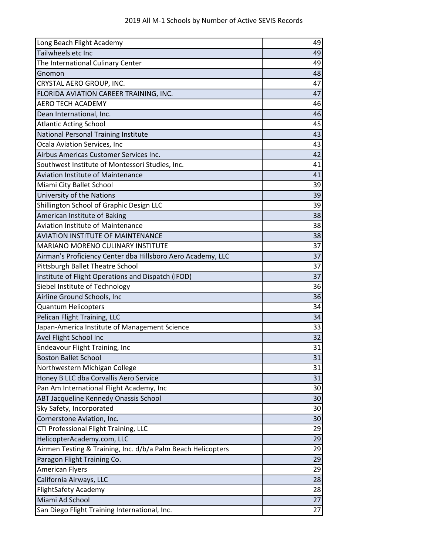| Long Beach Flight Academy                                    | 49 |
|--------------------------------------------------------------|----|
| Tailwheels etc Inc                                           | 49 |
| The International Culinary Center                            | 49 |
| Gnomon                                                       | 48 |
| CRYSTAL AERO GROUP, INC.                                     | 47 |
| FLORIDA AVIATION CAREER TRAINING, INC.                       | 47 |
| <b>AERO TECH ACADEMY</b>                                     | 46 |
| Dean International, Inc.                                     | 46 |
| <b>Atlantic Acting School</b>                                | 45 |
| National Personal Training Institute                         | 43 |
| Ocala Aviation Services, Inc                                 | 43 |
| Airbus Americas Customer Services Inc.                       | 42 |
| Southwest Institute of Montessori Studies, Inc.              | 41 |
| <b>Aviation Institute of Maintenance</b>                     | 41 |
| Miami City Ballet School                                     | 39 |
| University of the Nations                                    | 39 |
| Shillington School of Graphic Design LLC                     | 39 |
| American Institute of Baking                                 | 38 |
| <b>Aviation Institute of Maintenance</b>                     | 38 |
| <b>AVIATION INSTITUTE OF MAINTENANCE</b>                     | 38 |
| <b>MARIANO MORENO CULINARY INSTITUTE</b>                     | 37 |
| Airman's Proficiency Center dba Hillsboro Aero Academy, LLC  | 37 |
| Pittsburgh Ballet Theatre School                             | 37 |
| Institute of Flight Operations and Dispatch (iFOD)           | 37 |
| Siebel Institute of Technology                               | 36 |
| Airline Ground Schools, Inc                                  | 36 |
| <b>Quantum Helicopters</b>                                   | 34 |
| Pelican Flight Training, LLC                                 | 34 |
| Japan-America Institute of Management Science                | 33 |
| Avel Flight School Inc                                       | 32 |
| <b>Endeavour Flight Training, Inc</b>                        | 31 |
| <b>Boston Ballet School</b>                                  | 31 |
| Northwestern Michigan College                                | 31 |
| Honey B LLC dba Corvallis Aero Service                       | 31 |
| Pan Am International Flight Academy, Inc                     | 30 |
| ABT Jacqueline Kennedy Onassis School                        | 30 |
| Sky Safety, Incorporated                                     | 30 |
| Cornerstone Aviation, Inc.                                   | 30 |
| CTI Professional Flight Training, LLC                        | 29 |
| HelicopterAcademy.com, LLC                                   | 29 |
| Airmen Testing & Training, Inc. d/b/a Palm Beach Helicopters | 29 |
| Paragon Flight Training Co.                                  | 29 |
| <b>American Flyers</b>                                       | 29 |
| California Airways, LLC                                      | 28 |
| <b>FlightSafety Academy</b>                                  | 28 |
| Miami Ad School                                              | 27 |
| San Diego Flight Training International, Inc.                | 27 |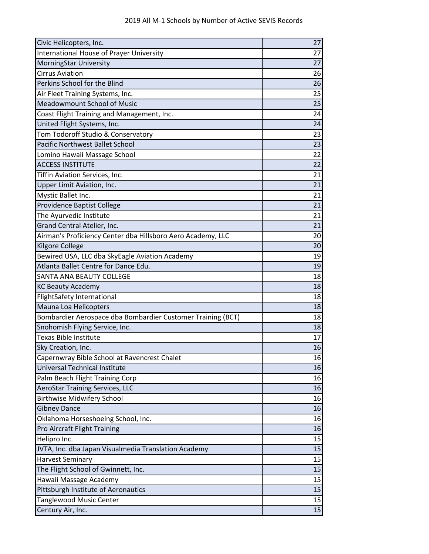| Civic Helicopters, Inc.                                     | 27 |
|-------------------------------------------------------------|----|
| <b>International House of Prayer University</b>             | 27 |
| MorningStar University                                      | 27 |
| <b>Cirrus Aviation</b>                                      | 26 |
| Perkins School for the Blind                                | 26 |
| Air Fleet Training Systems, Inc.                            | 25 |
| <b>Meadowmount School of Music</b>                          | 25 |
| Coast Flight Training and Management, Inc.                  | 24 |
| United Flight Systems, Inc.                                 | 24 |
| Tom Todoroff Studio & Conservatory                          | 23 |
| <b>Pacific Northwest Ballet School</b>                      | 23 |
| Lomino Hawaii Massage School                                | 22 |
| <b>ACCESS INSTITUTE</b>                                     | 22 |
| Tiffin Aviation Services, Inc.                              | 21 |
| Upper Limit Aviation, Inc.                                  | 21 |
| Mystic Ballet Inc.                                          | 21 |
| Providence Baptist College                                  | 21 |
| The Ayurvedic Institute                                     | 21 |
| Grand Central Atelier, Inc.                                 | 21 |
| Airman's Proficiency Center dba Hillsboro Aero Academy, LLC | 20 |
| Kilgore College                                             | 20 |
| Bewired USA, LLC dba SkyEagle Aviation Academy              | 19 |
| Atlanta Ballet Centre for Dance Edu.                        | 19 |
| SANTA ANA BEAUTY COLLEGE                                    | 18 |
| <b>KC Beauty Academy</b>                                    | 18 |
| <b>FlightSafety International</b>                           | 18 |
| Mauna Loa Helicopters                                       | 18 |
| Bombardier Aerospace dba Bombardier Customer Training (BCT) | 18 |
| Snohomish Flying Service, Inc.                              | 18 |
| Texas Bible Institute                                       | 17 |
| Sky Creation, Inc.                                          | 16 |
| Capernwray Bible School at Ravencrest Chalet                | 16 |
| Universal Technical Institute                               | 16 |
| Palm Beach Flight Training Corp                             | 16 |
| <b>AeroStar Training Services, LLC</b>                      | 16 |
| <b>Birthwise Midwifery School</b>                           | 16 |
| <b>Gibney Dance</b>                                         | 16 |
| Oklahoma Horseshoeing School, Inc.                          | 16 |
| Pro Aircraft Flight Training                                | 16 |
| Helipro Inc.                                                | 15 |
| JVTA, Inc. dba Japan Visualmedia Translation Academy        | 15 |
| <b>Harvest Seminary</b>                                     | 15 |
| The Flight School of Gwinnett, Inc.                         | 15 |
| Hawaii Massage Academy                                      | 15 |
| Pittsburgh Institute of Aeronautics                         | 15 |
| Tanglewood Music Center                                     | 15 |
| Century Air, Inc.                                           | 15 |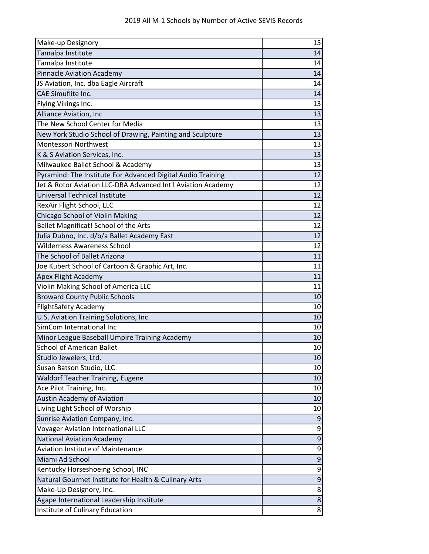| Make-up Designory                                            | 15               |
|--------------------------------------------------------------|------------------|
| Tamalpa Institute                                            | 14               |
| Tamalpa Institute                                            | 14               |
| <b>Pinnacle Aviation Academy</b>                             | 14               |
| JS Aviation, Inc. dba Eagle Aircraft                         | 14               |
| <b>CAE Simuflite Inc.</b>                                    | 14               |
| Flying Vikings Inc.                                          | 13               |
| Alliance Aviation, Inc                                       | 13               |
| The New School Center for Media                              | 13               |
| New York Studio School of Drawing, Painting and Sculpture    | 13               |
| <b>Montessori Northwest</b>                                  | 13               |
| K & S Aviation Services, Inc.                                | 13               |
| Milwaukee Ballet School & Academy                            | 13               |
| Pyramind: The Institute For Advanced Digital Audio Training  | 12               |
| Jet & Rotor Aviation LLC-DBA Advanced Int'l Aviation Academy | 12               |
| Universal Technical Institute                                | 12               |
| RexAir Flight School, LLC                                    | 12               |
| Chicago School of Violin Making                              | 12               |
| Ballet Magnificat! School of the Arts                        | 12               |
| Julia Dubno, Inc. d/b/a Ballet Academy East                  | 12               |
| <b>Wilderness Awareness School</b>                           | 12               |
| The School of Ballet Arizona                                 | 11               |
| Joe Kubert School of Cartoon & Graphic Art, Inc.             | 11               |
| <b>Apex Flight Academy</b>                                   | 11               |
| Violin Making School of America LLC                          | 11               |
| <b>Broward County Public Schools</b>                         | 10               |
| <b>FlightSafety Academy</b>                                  | 10               |
| U.S. Aviation Training Solutions, Inc.                       | 10               |
| SimCom International Inc                                     | 10               |
| Minor League Baseball Umpire Training Academy                | 10               |
| <b>School of American Ballet</b>                             | 10               |
| Studio Jewelers, Ltd.                                        | 10               |
| Susan Batson Studio, LLC                                     | 10               |
| Waldorf Teacher Training, Eugene                             | 10               |
| Ace Pilot Training, Inc.                                     | 10               |
| <b>Austin Academy of Aviation</b>                            | 10               |
| Living Light School of Worship                               | 10               |
| Sunrise Aviation Company, Inc.                               | 9                |
| Voyager Aviation International LLC                           | 9                |
| <b>National Aviation Academy</b>                             | $\boldsymbol{9}$ |
| <b>Aviation Institute of Maintenance</b>                     | 9                |
| Miami Ad School                                              | 9                |
| Kentucky Horseshoeing School, INC                            | 9                |
| Natural Gourmet Institute for Health & Culinary Arts         | 9                |
| Make-Up Designory, Inc.                                      | 8                |
| Agape International Leadership Institute                     | 8                |
| Institute of Culinary Education                              | 8                |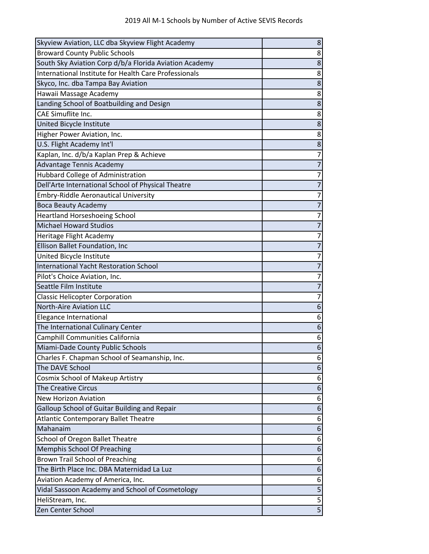| Skyview Aviation, LLC dba Skyview Flight Academy       | 8                       |
|--------------------------------------------------------|-------------------------|
| <b>Broward County Public Schools</b>                   | 8                       |
| South Sky Aviation Corp d/b/a Florida Aviation Academy | 8                       |
| International Institute for Health Care Professionals  | 8                       |
| Skyco, Inc. dba Tampa Bay Aviation                     | 8                       |
| Hawaii Massage Academy                                 | 8                       |
| Landing School of Boatbuilding and Design              | 8                       |
| CAE Simuflite Inc.                                     | 8                       |
| United Bicycle Institute                               | 8                       |
| Higher Power Aviation, Inc.                            | 8                       |
| U.S. Flight Academy Int'l                              | 8                       |
| Kaplan, Inc. d/b/a Kaplan Prep & Achieve               | $\overline{7}$          |
| Advantage Tennis Academy                               | $\overline{7}$          |
| Hubbard College of Administration                      | $\overline{7}$          |
| Dell'Arte International School of Physical Theatre     | $\overline{7}$          |
| <b>Embry-Riddle Aeronautical University</b>            | 7                       |
| <b>Boca Beauty Academy</b>                             | $\overline{7}$          |
| <b>Heartland Horseshoeing School</b>                   | $\overline{7}$          |
| <b>Michael Howard Studios</b>                          | $\overline{7}$          |
| Heritage Flight Academy                                | 7                       |
| Ellison Ballet Foundation, Inc                         | $\overline{7}$          |
| United Bicycle Institute                               | $\overline{7}$          |
| <b>International Yacht Restoration School</b>          | $\overline{7}$          |
| Pilot's Choice Aviation, Inc.                          | $\overline{7}$          |
| Seattle Film Institute                                 | $\overline{7}$          |
| <b>Classic Helicopter Corporation</b>                  | $\overline{7}$          |
| <b>North-Aire Aviation LLC</b>                         | 6                       |
| Elegance International                                 | 6                       |
| The International Culinary Center                      | 6                       |
| Camphill Communities California                        | 6                       |
| Miami-Dade County Public Schools                       | 6                       |
| Charles F. Chapman School of Seamanship, Inc.          | 6                       |
| The DAVE School                                        | 6                       |
| Cosmix School of Makeup Artistry                       | 6                       |
| <b>The Creative Circus</b>                             | 6                       |
| <b>New Horizon Aviation</b>                            | 6                       |
| Galloup School of Guitar Building and Repair           | 6                       |
| <b>Atlantic Contemporary Ballet Theatre</b>            | 6                       |
| Mahanaim                                               | 6                       |
| School of Oregon Ballet Theatre                        | 6                       |
| Memphis School Of Preaching                            | 6                       |
| Brown Trail School of Preaching                        | 6                       |
| The Birth Place Inc. DBA Maternidad La Luz             | 6                       |
| Aviation Academy of America, Inc.                      | 6                       |
| Vidal Sassoon Academy and School of Cosmetology        | 5                       |
| HeliStream, Inc.                                       | 5                       |
| Zen Center School                                      | $\overline{\mathbf{5}}$ |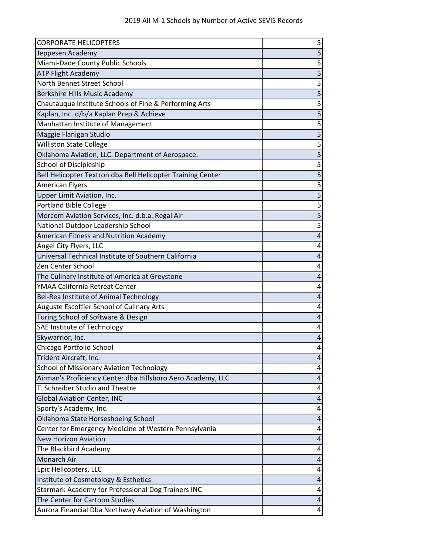| <b>CORPORATE HELICOPTERS</b>                                | 5                       |
|-------------------------------------------------------------|-------------------------|
| Jeppesen Academy                                            | $\overline{\mathbf{5}}$ |
| Miami-Dade County Public Schools                            | 5                       |
| <b>ATP Flight Academy</b>                                   |                         |
| North Bennet Street School                                  | $\overline{5}$          |
| Berkshire Hills Music Academy                               | 5                       |
| Chautauqua Institute Schools of Fine & Performing Arts      | $\overline{5}$          |
| Kaplan, Inc. d/b/a Kaplan Prep & Achieve                    | $\overline{5}$          |
| Manhattan Institute of Management                           | $\overline{\mathbf{5}}$ |
| Maggie Flanigan Studio                                      | $\overline{5}$          |
| <b>Williston State College</b>                              | $\overline{5}$          |
| Oklahoma Aviation, LLC. Department of Aerospace.            | $\overline{5}$          |
| School of Discipleship                                      | 5                       |
| Bell Helicopter Textron dba Bell Helicopter Training Center | $\overline{\mathbf{5}}$ |
| <b>American Flyers</b>                                      | $\overline{5}$          |
| <b>Upper Limit Aviation, Inc.</b>                           |                         |
| <b>Portland Bible College</b>                               | $\overline{\mathbf{5}}$ |
| Morcom Aviation Services, Inc. d.b.a. Regal Air             | $\overline{5}$          |
| National Outdoor Leadership School                          | 5                       |
| <b>American Fitness and Nutrition Academy</b>               | $\overline{\mathbf{r}}$ |
| Angel City Flyers, LLC                                      | 4                       |
| Universal Technical Institute of Southern California        | 4                       |
| Zen Center School                                           | 4                       |
| The Culinary Institute of America at Greystone              | 4                       |
| YMAA California Retreat Center                              | 4                       |
| Bel-Rea Institute of Animal Technology                      | 4                       |
| Auguste Escoffier School of Culinary Arts                   | 4                       |
| Turing School of Software & Design                          | 4                       |
| SAE Institute of Technology                                 | 4                       |
| Skywarrior, Inc.                                            | 4                       |
| Chicago Portfolio School                                    | 4                       |
| Trident Aircraft, Inc.                                      | 4                       |
| <b>School of Missionary Aviation Technology</b>             | 4                       |
| Airman's Proficiency Center dba Hillsboro Aero Academy, LLC | 4                       |
| T. Schreiber Studio and Theatre                             | 4                       |
| <b>Global Aviation Center, INC</b>                          | 4                       |
| Sporty's Academy, Inc.                                      | 4                       |
| Oklahoma State Horseshoeing School                          | 4                       |
| Center for Emergency Medicine of Western Pennsylvania       | 4                       |
| <b>New Horizon Aviation</b>                                 | 4                       |
| The Blackbird Academy                                       | 4                       |
| Monarch Air                                                 | 4                       |
| Epic Helicopters, LLC                                       | 4                       |
| Institute of Cosmetology & Esthetics                        | 4                       |
| Starmark Academy for Professional Dog Trainers INC          | 4                       |
| The Center for Cartoon Studies                              | 4                       |
| Aurora Financial Dba Northway Aviation of Washington        | 4                       |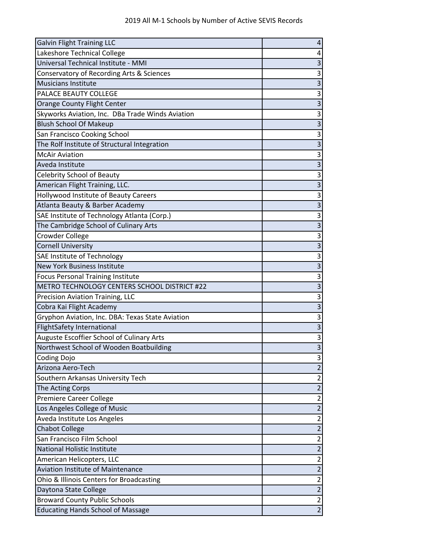| <b>Galvin Flight Training LLC</b>                | 4                       |
|--------------------------------------------------|-------------------------|
| Lakeshore Technical College                      | 4                       |
| Universal Technical Institute - MMI              | 3                       |
| Conservatory of Recording Arts & Sciences        | 3                       |
| <b>Musicians Institute</b>                       | $\overline{3}$          |
| PALACE BEAUTY COLLEGE                            | 3                       |
| Orange County Flight Center                      | $\overline{3}$          |
| Skyworks Aviation, Inc. DBa Trade Winds Aviation | 3                       |
| <b>Blush School Of Makeup</b>                    | $\overline{3}$          |
| San Francisco Cooking School                     | 3                       |
| The Rolf Institute of Structural Integration     | 3                       |
| <b>McAir Aviation</b>                            | 3                       |
| Aveda Institute                                  | $\overline{3}$          |
| <b>Celebrity School of Beauty</b>                | 3                       |
| American Flight Training, LLC.                   | 3                       |
| Hollywood Institute of Beauty Careers            | 3                       |
| Atlanta Beauty & Barber Academy                  | $\overline{\mathbf{3}}$ |
| SAE Institute of Technology Atlanta (Corp.)      | 3                       |
| The Cambridge School of Culinary Arts            | $\overline{3}$          |
| Crowder College                                  | 3                       |
| <b>Cornell University</b>                        | $\overline{\mathbf{3}}$ |
| SAE Institute of Technology                      | 3                       |
| <b>New York Business Institute</b>               | $\overline{3}$          |
| <b>Focus Personal Training Institute</b>         | 3                       |
| METRO TECHNOLOGY CENTERS SCHOOL DISTRICT #22     | $\overline{3}$          |
| Precision Aviation Training, LLC                 | 3                       |
| Cobra Kai Flight Academy                         | 3                       |
| Gryphon Aviation, Inc. DBA: Texas State Aviation | 3                       |
| <b>FlightSafety International</b>                | $\overline{3}$          |
| Auguste Escoffier School of Culinary Arts        | 3                       |
| Northwest School of Wooden Boatbuilding          | $\overline{3}$          |
| Coding Dojo                                      | 3                       |
| Arizona Aero-Tech                                | $\overline{2}$          |
| Southern Arkansas University Tech                | $\overline{\mathbf{c}}$ |
| The Acting Corps                                 | $\overline{2}$          |
| <b>Premiere Career College</b>                   | $\overline{\mathbf{c}}$ |
| Los Angeles College of Music                     | $\overline{c}$          |
| Aveda Institute Los Angeles                      | $\overline{\mathbf{c}}$ |
| <b>Chabot College</b>                            | $\overline{2}$          |
| San Francisco Film School                        | $\overline{2}$          |
| <b>National Holistic Institute</b>               | $\overline{2}$          |
| American Helicopters, LLC                        | $\overline{c}$          |
| <b>Aviation Institute of Maintenance</b>         | $\overline{2}$          |
| Ohio & Illinois Centers for Broadcasting         | $\overline{\mathbf{c}}$ |
| Daytona State College                            | $\overline{2}$          |
| <b>Broward County Public Schools</b>             | $\overline{2}$          |
| <b>Educating Hands School of Massage</b>         | $\overline{2}$          |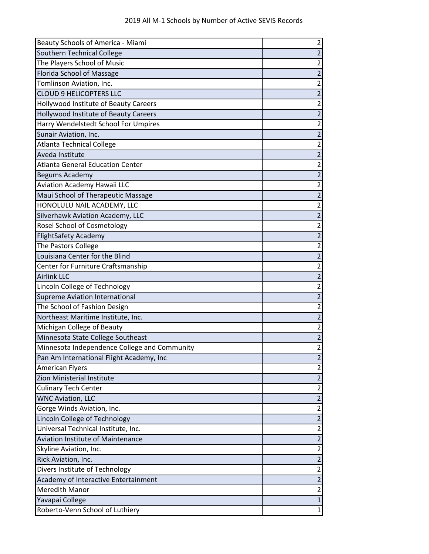| Beauty Schools of America - Miami                  |                              |
|----------------------------------------------------|------------------------------|
| Southern Technical College                         | $\overline{2}$               |
| The Players School of Music                        | 2                            |
| Florida School of Massage                          | $\overline{2}$               |
| Tomlinson Aviation, Inc.                           | $\overline{2}$               |
| <b>CLOUD 9 HELICOPTERS LLC</b>                     | $\overline{2}$               |
| Hollywood Institute of Beauty Careers              | $\overline{2}$               |
| Hollywood Institute of Beauty Careers              | $\overline{c}$               |
| Harry Wendelstedt School For Umpires               | $\overline{2}$               |
| Sunair Aviation, Inc.                              | $\overline{2}$               |
| <b>Atlanta Technical College</b>                   | $\overline{2}$               |
| Aveda Institute                                    | $\overline{2}$               |
| <b>Atlanta General Education Center</b>            | $\overline{2}$               |
| Begums Academy                                     | $\overline{2}$               |
| <b>Aviation Academy Hawaii LLC</b>                 | $\overline{2}$               |
| Maui School of Therapeutic Massage                 | $\overline{2}$               |
| HONOLULU NAIL ACADEMY, LLC                         | $\overline{2}$               |
| Silverhawk Aviation Academy, LLC                   | $\overline{2}$               |
| Rosel School of Cosmetology                        | $\overline{2}$               |
| <b>FlightSafety Academy</b>                        | $\overline{c}$               |
| The Pastors College                                | $\overline{2}$               |
| Louisiana Center for the Blind                     | $\overline{2}$               |
| Center for Furniture Craftsmanship                 | $\overline{2}$               |
| <b>Airlink LLC</b>                                 | $\overline{2}$               |
|                                                    |                              |
| Lincoln College of Technology                      | $\overline{2}$               |
| Supreme Aviation International                     | $\overline{2}$               |
| The School of Fashion Design                       | $\overline{2}$               |
| Northeast Maritime Institute, Inc.                 | $\overline{2}$               |
| Michigan College of Beauty                         | $\overline{c}$               |
| Minnesota State College Southeast                  | $\overline{2}$               |
| Minnesota Independence College and Community       | $\overline{2}$               |
| Pan Am International Flight Academy, Inc           | 2                            |
| <b>American Flyers</b>                             | $\overline{2}$               |
| Zion Ministerial Institute                         | $\overline{2}$               |
| <b>Culinary Tech Center</b>                        | $\overline{2}$               |
| <b>WNC Aviation, LLC</b>                           | $\overline{2}$               |
| Gorge Winds Aviation, Inc.                         | $\overline{c}$               |
| Lincoln College of Technology                      | $\overline{2}$               |
| Universal Technical Institute, Inc.                | $\overline{2}$               |
| <b>Aviation Institute of Maintenance</b>           | $\overline{2}$               |
| Skyline Aviation, Inc.                             | $\overline{2}$               |
| Rick Aviation, Inc.                                | $\overline{c}$               |
| Divers Institute of Technology                     | $\overline{2}$               |
| Academy of Interactive Entertainment               | $\overline{2}$               |
| <b>Meredith Manor</b>                              | $\overline{2}$               |
| Yavapai College<br>Roberto-Venn School of Luthiery | $\mathbf{1}$<br>$\mathbf{1}$ |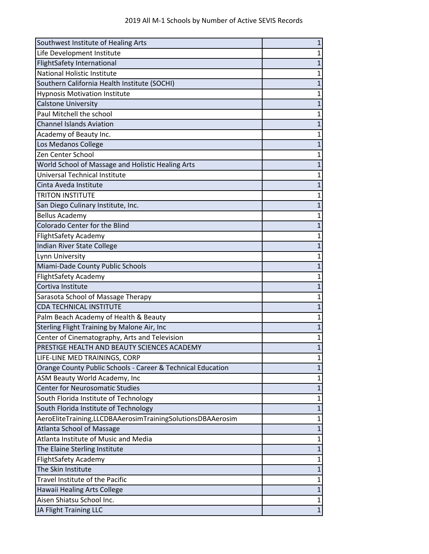| Southwest Institute of Healing Arts                         | 1              |
|-------------------------------------------------------------|----------------|
| Life Development Institute                                  | 1              |
| <b>FlightSafety International</b>                           | 1              |
| <b>National Holistic Institute</b>                          | 1              |
| Southern California Health Institute (SOCHI)                | $\mathbf{1}$   |
| <b>Hypnosis Motivation Institute</b>                        | 1              |
| <b>Calstone University</b>                                  | $\mathbf{1}$   |
| Paul Mitchell the school                                    | 1              |
| <b>Channel Islands Aviation</b>                             | $\mathbf{1}$   |
| Academy of Beauty Inc.                                      | 1              |
| Los Medanos College                                         | $\mathbf{1}$   |
| Zen Center School                                           | $\mathbf 1$    |
| World School of Massage and Holistic Healing Arts           | 1              |
| Universal Technical Institute                               | 1              |
| Cinta Aveda Institute                                       | 1              |
| <b>TRITON INSTITUTE</b>                                     | 1              |
| San Diego Culinary Institute, Inc.                          | $\mathbf{1}$   |
| <b>Bellus Academy</b>                                       | 1              |
| Colorado Center for the Blind                               | $\overline{1}$ |
| <b>FlightSafety Academy</b>                                 | 1              |
| Indian River State College                                  | 1              |
| Lynn University                                             | 1              |
| Miami-Dade County Public Schools                            | $\mathbf{1}$   |
| <b>FlightSafety Academy</b>                                 | $\mathbf 1$    |
| Cortiva Institute                                           | 1              |
| Sarasota School of Massage Therapy                          | $\mathbf{1}$   |
| <b>CDA TECHNICAL INSTITUTE</b>                              | 1              |
| Palm Beach Academy of Health & Beauty                       | 1              |
| Sterling Flight Training by Malone Air, Inc                 | $\mathbf 1$    |
| Center of Cinematography, Arts and Television               | 1              |
| PRESTIGE HEALTH AND BEAUTY SCIENCES ACADEMY                 | $\overline{1}$ |
| LIFE-LINE MED TRAININGS, CORP                               | 1              |
| Orange County Public Schools - Career & Technical Education | $\mathbf{1}$   |
| ASM Beauty World Academy, Inc                               | 1              |
| <b>Center for Neurosomatic Studies</b>                      | $\mathbf{1}$   |
| South Florida Institute of Technology                       | $\mathbf 1$    |
| South Florida Institute of Technology                       | $\mathbf 1$    |
| AeroEliteTraining,LLCDBAAerosimTrainingSolutionsDBAAerosim  | $\mathbf{1}$   |
| <b>Atlanta School of Massage</b>                            | 1              |
| Atlanta Institute of Music and Media                        | 1              |
| The Elaine Sterling Institute                               | 1              |
| <b>FlightSafety Academy</b>                                 | 1              |
| The Skin Institute                                          | $\mathbf{1}$   |
| Travel Institute of the Pacific                             | 1              |
| Hawaii Healing Arts College                                 | $\mathbf{1}$   |
| Aisen Shiatsu School Inc.                                   | 1              |
| JA Flight Training LLC                                      | $\mathbf{1}$   |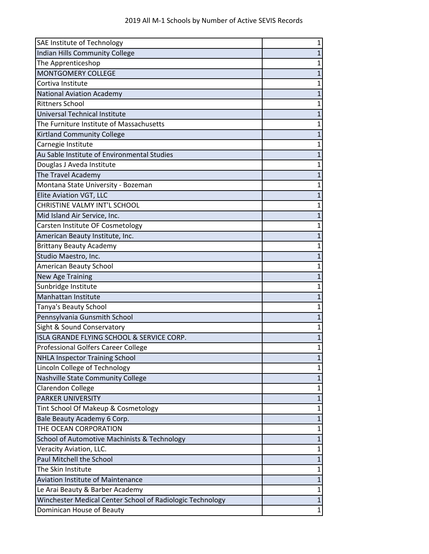| SAE Institute of Technology                               | 1            |
|-----------------------------------------------------------|--------------|
| <b>Indian Hills Community College</b>                     | 1            |
| The Apprenticeshop                                        | 1            |
| <b>MONTGOMERY COLLEGE</b>                                 | 1            |
| Cortiva Institute                                         | 1            |
| <b>National Aviation Academy</b>                          | 1            |
| <b>Rittners School</b>                                    | 1            |
| Universal Technical Institute                             | 1            |
| The Furniture Institute of Massachusetts                  | 1            |
| <b>Kirtland Community College</b>                         | $\mathbf{1}$ |
| Carnegie Institute                                        | 1            |
| Au Sable Institute of Environmental Studies               | $\mathbf{1}$ |
| Douglas J Aveda Institute                                 | 1            |
| The Travel Academy                                        | 1            |
| Montana State University - Bozeman                        | 1            |
| Elite Aviation VGT, LLC                                   | 1            |
| CHRISTINE VALMY INT'L SCHOOL                              | 1            |
| Mid Island Air Service, Inc.                              | 1            |
| Carsten Institute OF Cosmetology                          | 1            |
| American Beauty Institute, Inc.                           | 1            |
| <b>Brittany Beauty Academy</b>                            | 1            |
| Studio Maestro, Inc.                                      | 1            |
| American Beauty School                                    | 1            |
| New Age Training                                          | $\mathbf{1}$ |
| Sunbridge Institute                                       | 1            |
| Manhattan Institute                                       | 1            |
| <b>Tanya's Beauty School</b>                              | 1            |
| Pennsylvania Gunsmith School                              | 1            |
| Sight & Sound Conservatory                                | $\mathbf 1$  |
| ISLA GRANDE FLYING SCHOOL & SERVICE CORP.                 | 1            |
| <b>Professional Golfers Career College</b>                | 1            |
| <b>NHLA Inspector Training School</b>                     | 1            |
| Lincoln College of Technology                             | 1            |
| Nashville State Community College                         | $\mathbf{1}$ |
| Clarendon College                                         | 1            |
| <b>PARKER UNIVERSITY</b>                                  | $\mathbf{1}$ |
| Tint School Of Makeup & Cosmetology                       | 1            |
| Bale Beauty Academy 6 Corp.                               | $\mathbf{1}$ |
| THE OCEAN CORPORATION                                     | $\mathbf 1$  |
| School of Automotive Machinists & Technology              | $\mathbf{1}$ |
| Veracity Aviation, LLC.                                   | 1            |
| Paul Mitchell the School                                  | $\mathbf{1}$ |
| The Skin Institute                                        | $\mathbf{1}$ |
| <b>Aviation Institute of Maintenance</b>                  | 1            |
| Le Arai Beauty & Barber Academy                           | $\mathbf{1}$ |
| Winchester Medical Center School of Radiologic Technology | $\mathbf{1}$ |
| Dominican House of Beauty                                 | $\mathbf 1$  |